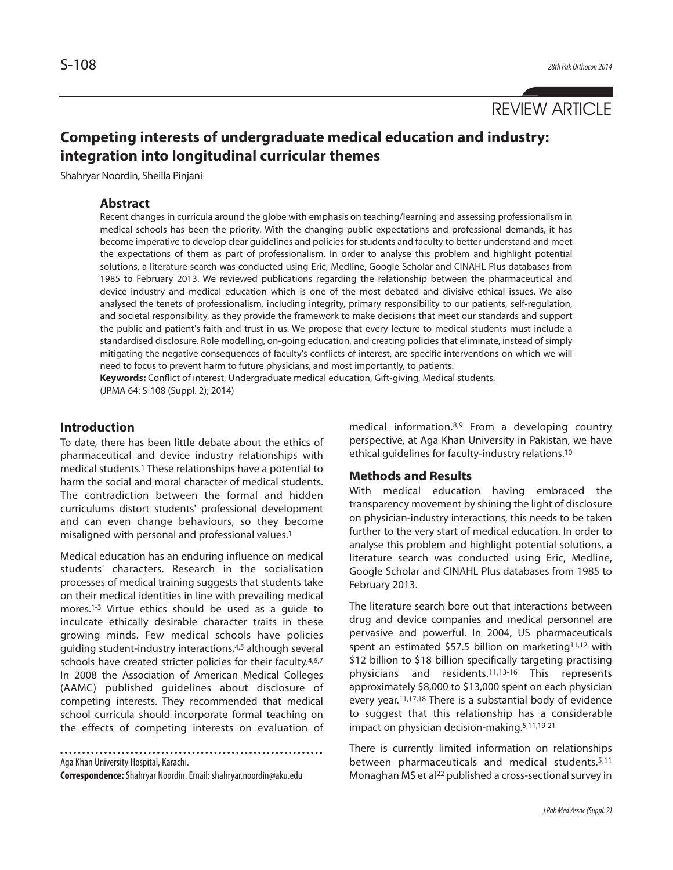REVIEW ARTICLE

# **Competing interests of undergraduate medical education and industry: integration into longitudinal curricular themes**

Shahryar Noordin, Sheilla Pinjani

### **Abstract**

Recent changes in curricula around the globe with emphasis on teaching/learning and assessing professionalism in medical schools has been the priority. With the changing public expectations and professional demands, it has become imperative to develop clear guidelines and policies for students and faculty to better understand and meet the expectations of them as part of professionalism. In order to analyse this problem and highlight potential solutions, a literature search was conducted using Eric, Medline, Google Scholar and CINAHL Plus databases from 1985 to February 2013. We reviewed publications regarding the relationship between the pharmaceutical and device industry and medical education which is one of the most debated and divisive ethical issues. We also analysed the tenets of professionalism, including integrity, primary responsibility to our patients, self-regulation, and societal responsibility, as they provide the framework to make decisions that meet our standards and support the public and patient's faith and trust in us. We propose that every lecture to medical students must include a standardised disclosure. Role modelling, on-going education, and creating policies that eliminate, instead of simply mitigating the negative consequences of faculty's conflicts of interest, are specific interventions on which we will need to focus to prevent harm to future physicians, and most importantly, to patients.

**Keywords:** Conflict of interest, Undergraduate medical education, Gift-giving, Medical students. (JPMA 64: S-108 (Suppl. 2); 2014)

#### **Introduction**

To date, there has been little debate about the ethics of pharmaceutical and device industry relationships with medical students.<sup>1</sup> These relationships have a potential to harm the social and moral character of medical students. The contradiction between the formal and hidden curriculums distort students' professional development and can even change behaviours, so they become misaligned with personal and professional values.<sup>1</sup>

Medical education has an enduring influence on medical students' characters. Research in the socialisation processes of medical training suggests that students take on their medical identities in line with prevailing medical mores.1-3 Virtue ethics should be used as a guide to inculcate ethically desirable character traits in these growing minds. Few medical schools have policies guiding student-industry interactions,4,5 although several schools have created stricter policies for their faculty.<sup>4,6,7</sup> In 2008 the Association of American Medical Colleges (AAMC) published guidelines about disclosure of competing interests. They recommended that medical school curricula should incorporate formal teaching on the effects of competing interests on evaluation of

Aga Khan University Hospital, Karachi.

**Correspondence:**Shahryar Noordin. Email: shahryar.noordin@aku.edu

medical information.8,9 From a developing country perspective, at Aga Khan University in Pakistan, we have ethical guidelines for faculty-industry relations.<sup>10</sup>

#### **Methods and Results**

With medical education having embraced the transparency movement by shining the light of disclosure on physician-industry interactions, this needs to be taken further to the very start of medical education. In order to analyse this problem and highlight potential solutions, a literature search was conducted using Eric, Medline, Google Scholar and CINAHL Plus databases from 1985 to February 2013.

The literature search bore out that interactions between drug and device companies and medical personnel are pervasive and powerful. In 2004, US pharmaceuticals spent an estimated \$57.5 billion on marketing<sup>11,12</sup> with \$12 billion to \$18 billion specifically targeting practising physicians and residents.11,13-16 This represents approximately \$8,000 to \$13,000 spent on each physician every year.11,17,18 There is a substantial body of evidence to suggest that this relationship has a considerable impact on physician decision-making.5,11,19-21

There is currently limited information on relationships between pharmaceuticals and medical students.5,11 Monaghan MS et al<sup>22</sup> published a cross-sectional survey in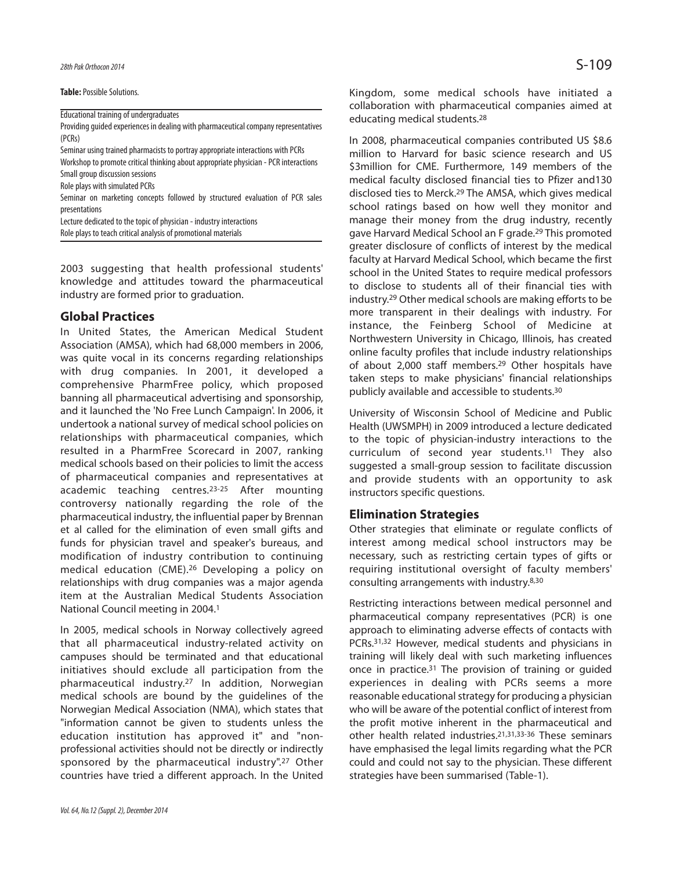**Table:** Possible Solutions.

Educational training of undergraduates

Providing guided experiences in dealing with pharmaceutical company representatives (PCRs)

Seminar using trained pharmacists to portray appropriate interactions with PCRs

Workshop to promote critical thinking about appropriate physician - PCR interactions Small group discussion sessions

Role plays with simulated PCRs

Seminar on marketing concepts followed by structured evaluation of PCR sales presentations

Lecture dedicated to the topic of physician - industry interactions Role plays to teach critical analysis of promotional materials

2003 suggesting that health professional students' knowledge and attitudes toward the pharmaceutical industry are formed prior to graduation.

### **Global Practices**

In United States, the American Medical Student Association (AMSA), which had 68,000 members in 2006, was quite vocal in its concerns regarding relationships with drug companies. In 2001, it developed a comprehensive PharmFree policy, which proposed banning all pharmaceutical advertising and sponsorship, and it launched the 'No Free Lunch Campaign'. In 2006, it undertook a national survey of medical school policies on relationships with pharmaceutical companies, which resulted in a PharmFree Scorecard in 2007, ranking medical schools based on their policies to limit the access of pharmaceutical companies and representatives at academic teaching centres.23-25 After mounting controversy nationally regarding the role of the pharmaceutical industry, the influential paper by Brennan et al called for the elimination of even small gifts and funds for physician travel and speaker's bureaus, and modification of industry contribution to continuing medical education (CME).<sup>26</sup> Developing a policy on relationships with drug companies was a major agenda item at the Australian Medical Students Association National Council meeting in 2004.<sup>1</sup>

In 2005, medical schools in Norway collectively agreed that all pharmaceutical industry-related activity on campuses should be terminated and that educational initiatives should exclude all participation from the pharmaceutical industry.<sup>27</sup> In addition, Norwegian medical schools are bound by the guidelines of the Norwegian Medical Association (NMA), which states that "information cannot be given to students unless the education institution has approved it" and "nonprofessional activities should not be directly or indirectly sponsored by the pharmaceutical industry".<sup>27</sup> Other countries have tried a different approach. In the United

Kingdom, some medical schools have initiated a collaboration with pharmaceutical companies aimed at educating medical students.<sup>28</sup>

In 2008, pharmaceutical companies contributed US \$8.6 million to Harvard for basic science research and US \$3million for CME. Furthermore, 149 members of the medical faculty disclosed financial ties to Pfizer and130 disclosed ties to Merck.<sup>29</sup> The AMSA, which gives medical school ratings based on how well they monitor and manage their money from the drug industry, recently gave Harvard Medical School an F grade.<sup>29</sup> This promoted greater disclosure of conflicts of interest by the medical faculty at Harvard Medical School, which became the first school in the United States to require medical professors to disclose to students all of their financial ties with industry.<sup>29</sup> Other medical schools are making efforts to be more transparent in their dealings with industry. For instance, the Feinberg School of Medicine at Northwestern University in Chicago, Illinois, has created online faculty profiles that include industry relationships of about 2,000 staff members.<sup>29</sup> Other hospitals have taken steps to make physicians' financial relationships publicly available and accessible to students.<sup>30</sup>

University of Wisconsin School of Medicine and Public Health (UWSMPH) in 2009 introduced a lecture dedicated to the topic of physician-industry interactions to the curriculum of second year students.<sup>11</sup> They also suggested a small-group session to facilitate discussion and provide students with an opportunity to ask instructors specific questions.

# **Elimination Strategies**

Other strategies that eliminate or regulate conflicts of interest among medical school instructors may be necessary, such as restricting certain types of gifts or requiring institutional oversight of faculty members' consulting arrangements with industry.8,30

Restricting interactions between medical personnel and pharmaceutical company representatives (PCR) is one approach to eliminating adverse effects of contacts with PCRs.31,32 However, medical students and physicians in training will likely deal with such marketing influences once in practice.<sup>31</sup> The provision of training or quided experiences in dealing with PCRs seems a more reasonable educational strategy for producing a physician who will be aware of the potential conflict of interest from the profit motive inherent in the pharmaceutical and other health related industries.21,31,33-36 These seminars have emphasised the legal limits regarding what the PCR could and could not say to the physician. These different strategies have been summarised (Table-1).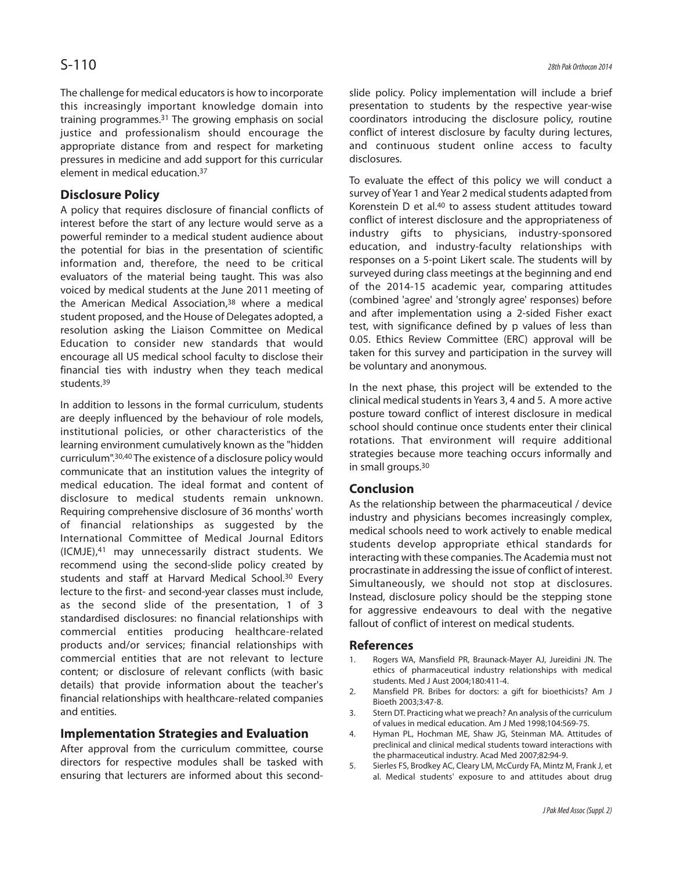The challenge for medical educators is how to incorporate this increasingly important knowledge domain into training programmes.<sup>31</sup> The growing emphasis on social justice and professionalism should encourage the appropriate distance from and respect for marketing pressures in medicine and add support for this curricular element in medical education.<sup>37</sup>

# **Disclosure Policy**

A policy that requires disclosure of financial conflicts of interest before the start of any lecture would serve as a powerful reminder to a medical student audience about the potential for bias in the presentation of scientific information and, therefore, the need to be critical evaluators of the material being taught. This was also voiced by medical students at the June 2011 meeting of the American Medical Association,<sup>38</sup> where a medical student proposed, and the House of Delegates adopted, a resolution asking the Liaison Committee on Medical Education to consider new standards that would encourage all US medical school faculty to disclose their financial ties with industry when they teach medical students.39

In addition to lessons in the formal curriculum, students are deeply influenced by the behaviour of role models, institutional policies, or other characteristics of the learning environment cumulatively known as the "hidden curriculum".30,40 The existence of a disclosure policy would communicate that an institution values the integrity of medical education. The ideal format and content of disclosure to medical students remain unknown. Requiring comprehensive disclosure of 36 months' worth of financial relationships as suggested by the International Committee of Medical Journal Editors (ICMJE),<sup>41</sup> may unnecessarily distract students. We recommend using the second-slide policy created by students and staff at Harvard Medical School.<sup>30</sup> Every lecture to the first- and second-year classes must include, as the second slide of the presentation, 1 of 3 standardised disclosures: no financial relationships with commercial entities producing healthcare-related products and/or services; financial relationships with commercial entities that are not relevant to lecture content; or disclosure of relevant conflicts (with basic details) that provide information about the teacher's financial relationships with healthcare-related companies and entities.

# **Implementation Strategies and Evaluation**

After approval from the curriculum committee, course directors for respective modules shall be tasked with ensuring that lecturers are informed about this second-

slide policy. Policy implementation will include a brief presentation to students by the respective year-wise coordinators introducing the disclosure policy, routine conflict of interest disclosure by faculty during lectures, and continuous student online access to faculty disclosures.

To evaluate the effect of this policy we will conduct a survey of Year 1 and Year 2 medical students adapted from Korenstein D et al.<sup>40</sup> to assess student attitudes toward conflict of interest disclosure and the appropriateness of industry gifts to physicians, industry-sponsored education, and industry-faculty relationships with responses on a 5-point Likert scale. The students will by surveyed during class meetings at the beginning and end of the 2014-15 academic year, comparing attitudes (combined 'agree' and 'strongly agree' responses) before and after implementation using a 2-sided Fisher exact test, with significance defined by p values of less than 0.05. Ethics Review Committee (ERC) approval will be taken for this survey and participation in the survey will be voluntary and anonymous.

In the next phase, this project will be extended to the clinical medical students in Years 3, 4 and 5. A more active posture toward conflict of interest disclosure in medical school should continue once students enter their clinical rotations. That environment will require additional strategies because more teaching occurs informally and in small groups.30

# **Conclusion**

As the relationship between the pharmaceutical / device industry and physicians becomes increasingly complex, medical schools need to work actively to enable medical students develop appropriate ethical standards for interacting with these companies. The Academia must not procrastinate in addressing the issue of conflict of interest. Simultaneously, we should not stop at disclosures. Instead, disclosure policy should be the stepping stone for aggressive endeavours to deal with the negative fallout of conflict of interest on medical students.

#### **References**

- 1. Rogers WA, Mansfield PR, Braunack-Mayer AJ, Jureidini JN. The ethics of pharmaceutical industry relationships with medical students. Med J Aust 2004;180:411-4.
- 2. Mansfield PR. Bribes for doctors: a gift for bioethicists? Am J Bioeth 2003;3:47-8.
- 3. Stern DT. Practicing what we preach? An analysis of the curriculum of values in medical education. Am J Med 1998;104:569-75.
- 4. Hyman PL, Hochman ME, Shaw JG, Steinman MA. Attitudes of preclinical and clinical medical students toward interactions with the pharmaceutical industry. Acad Med 2007;82:94-9.
- 5. Sierles FS, Brodkey AC, Cleary LM, McCurdy FA, Mintz M, Frank J, et al. Medical students' exposure to and attitudes about drug